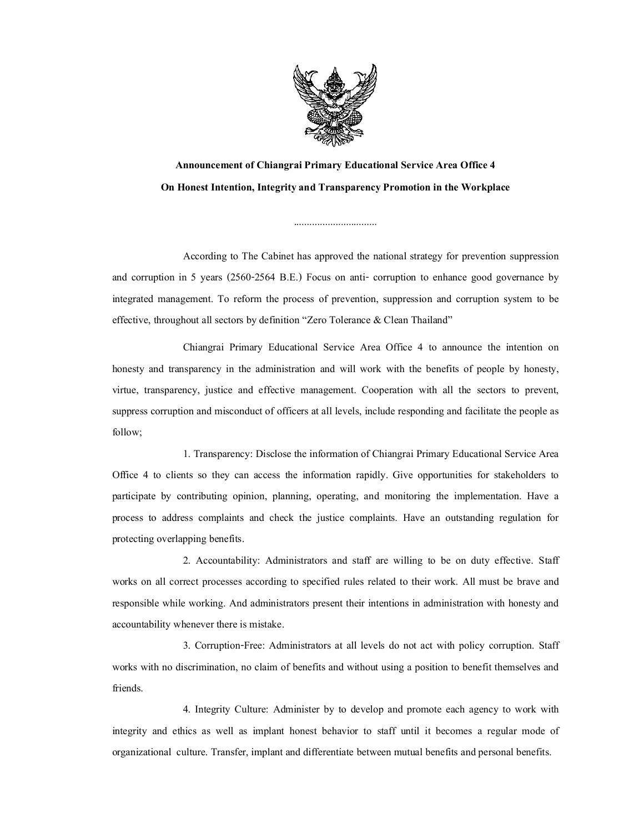

Announcement of Chiangrai Primary Educational Service Area Office 4 On Honest Intention, Integrity and Transparency Promotion in the Workplace

................................

According to The Cabinet has approved the national strategy for prevention suppression and corruption in 5 years (2560-2564 B.E.) Focus on anti- corruption to enhance good governance by integrated management. To reform the process of prevention, suppression and corruption system to be effective, throughout all sectors by definition "Zero Tolerance & Clean Thailand"

Chiangrai Primary Educational Service Area Office 4 to announce the intention on honesty and transparency in the administration and will work with the benefits of people by honesty, virtue, transparency, justice and effective management. Cooperation with all the sectors to prevent, suppress corruption and misconduct of officers at all levels, include responding and facilitate the people as follow;

1. Transparency: Disclose the information of Chiangrai Primary Educational Service Area Office 4 to clients so they can access the information rapidly. Give opportunities for stakeholders to participate by contributing opinion, planning, operating, and monitoring the implementation. Have a process to address complaints and check the justice complaints. Have an outstanding regulation for protecting overlapping benefits.

2. Accountability: Administrators and staff are willing to be on duty effective. Staff works on all correct processes according to specified rules related to their work. All must be brave and responsible while working. And administrators present their intentions in administration with honesty and accountability whenever there is mistake.

3. Corruption-Free: Administrators at all levels do not act with policy corruption. Staff works with no discrimination, no claim of benefits and without using a position to benefit themselves and friends.

4. Integrity Culture: Administer by to develop and promote each agency to work with integrity and ethics as well as implant honest behavior to staff until it becomes a regular mode of organizational culture. Transfer, implant and differentiate between mutual benefits and personal benefits.